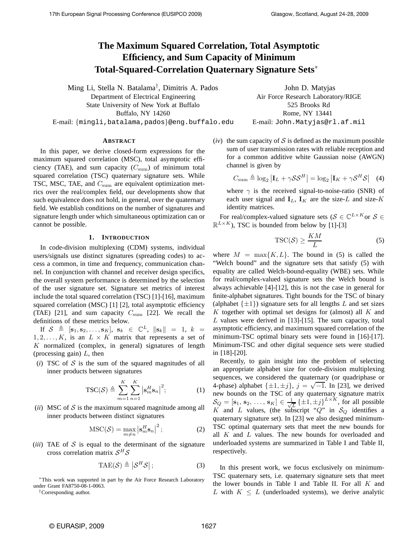# **The Maximum Squared Correlation, Total Asymptotic Efficiency, and Sum Capacity of Minimum Total-Squared-Correlation Quaternary Signature Sets**∗

Ming Li, Stella N. Batalama† , Dimitris A. Pados Department of Electrical Engineering State University of New York at Buffalo Buffalo, NY 14260 E-mail: {mingli,batalama,pados}@eng.buffalo.edu

John D. Matyjas Air Force Research Laboratory/RIGE 525 Brooks Rd Rome, NY 13441 E-mail: John.Matyjas@rl.af.mil

#### **ABSTRACT**

In this paper, we derive closed-form expressions for the maximum squared correlation (MSC), total asymptotic efficiency (TAE), and sum capacity  $(C_{\text{sum}})$  of minimum total squared correlation (TSC) quaternary signature sets. While TSC, MSC, TAE, and  $C_{\text{sum}}$  are equivalent optimization metrics over the real/complex field, our developments show that such equivalence does not hold, in general, over the quaternary field. We establish conditions on the number of signatures and signature length under which simultaneous optimization can or cannot be possible.

#### **1. INTRODUCTION**

In code-division multiplexing (CDM) systems, individual users/signals use distinct signatures (spreading codes) to access a common, in time and frequency, communication channel. In conjunction with channel and receiver design specifics, the overall system performance is determined by the selection of the user signature set. Signature set metrics of interest include the total squared correlation (TSC) [1]-[16], maximum squared correlation (MSC) [1] [2], total asymptotic efficiency (TAE) [21], and sum capacity  $C_{\text{sum}}$  [22]. We recall the definitions of these metrics below.

If  $S \triangleq [s_1, s_2, \ldots, s_K], s_k \in \mathbb{C}^L, ||s_k|| = 1, k =$  $1, 2, \ldots, K$ , is an  $L \times K$  matrix that represents a set of  $K$  normalized (complex, in general) signatures of length (processing gain)  $L$ , then

( $i$ ) TSC of  $S$  is the sum of the squared magnitudes of all inner products between signatures

$$
TSC(S) \triangleq \sum_{m=1}^{K} \sum_{n=1}^{K} \left| \mathbf{s}_{m}^{H} \mathbf{s}_{n} \right|^{2};
$$
 (1)

 $(ii)$  MSC of S is the maximum squared magnitude among all inner products between distinct signatures

$$
\text{MSC}(\mathcal{S}) = \max_{m \neq n} \left| \mathbf{s}_m^H \mathbf{s}_n \right|^2; \tag{2}
$$

 $(iii)$  TAE of  $S$  is equal to the determinant of the signature cross correlation matrix  $S^H S$ 

$$
TAE(\mathcal{S}) \triangleq \left| \mathcal{S}^H \mathcal{S} \right|; \tag{3}
$$

<sup>∗</sup>This work was supported in part by the Air Force Research Laboratory under Grant FA8750-08-1-0063.

†Corresponding author.

 $(iv)$  the sum capacity of S is defined as the maximum possible sum of user transmission rates with reliable reception and for a common additive white Gaussian noise (AWGN) channel is given by

$$
C_{\text{sum}} \triangleq \log_2 |\mathbf{I}_L + \gamma \mathcal{S} \mathcal{S}^H| = \log_2 |\mathbf{I}_K + \gamma \mathcal{S}^H \mathcal{S}| \quad (4)
$$

where  $\gamma$  is the received signal-to-noise-ratio (SNR) of each user signal and  $I_L$ ,  $I_K$  are the size-L and size-K identity matrices.

For real/complex-valued signature sets ( $S \in \mathbb{C}^{L \times K}$  or  $S \in$  $\mathbb{R}^{L \times K}$ ), TSC is bounded from below by [1]-[3]

$$
\text{TSC}(\mathcal{S}) \ge \frac{KM}{L} \tag{5}
$$

where  $M = \max\{K, L\}$ . The bound in (5) is called the "Welch bound" and the signature sets that satisfy (5) with equality are called Welch-bound-equality (WBE) sets. While for real/complex-valued signature sets the Welch bound is always achievable [4]-[12], this is not the case in general for finite-alphabet signatures. Tight bounds for the TSC of binary (alphabet  $\{\pm 1\}$ ) signature sets for all lengths L and set sizes  $K$  together with optimal set designs for (almost) all  $K$  and L values were derived in [13]-[15]. The sum capacity, total asymptotic efficiency, and maximum squared correlation of the minimum-TSC optimal binary sets were found in [16]-[17]. Minimum-TSC and other digital sequence sets were studied in [18]-[20].

Recently, to gain insight into the problem of selecting an appropriate alphabet size for code-division multiplexing sequences, we considered the quaternary (or quadriphase or 4-phase) alphabet  $\{\pm 1, \pm j\}$ ,  $j = \sqrt{-1}$ . In [23], we derived new bounds on the TSC of any quaternary signature matrix  $\mathcal{S}_Q=[\mathbf{s}_1,\,\mathbf{s}_2,\,\ldots,\,\mathbf{s}_K]\in\frac{1}{\sqrt{2}}$  $\frac{1}{L} \left\{ \pm 1, \pm j \right\}^{L \times K}$ , for all possible K and L values, (the subscript "Q" in  $S_Q$  identifies a quaternary signature set). In [23] we also designed minimum-TSC optimal quaternary sets that meet the new bounds for all  $K$  and  $L$  values. The new bounds for overloaded and underloaded systems are summarized in Table I and Table II, respectively.

In this present work, we focus exclusively on minimum-TSC quaternary sets, i.e. quaternary signature sets that meet the lower bounds in Table I and Table II. For all  $K$  and L with  $K \leq L$  (underloaded systems), we derive analytic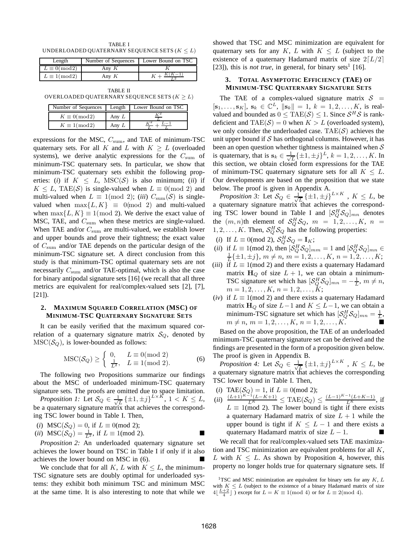TABLE I UNDERLOADED QUATERNARY SEQUENCE SETS  $(K < L)$ 

| Length                | Number of Sequences | Lower Bound on TSC |
|-----------------------|---------------------|--------------------|
| $L \equiv 0 \pmod{2}$ | Anv <i>K</i>        |                    |
| $L \equiv 1 \pmod{2}$ | Anv K               |                    |

TABLE II OVERLOADED QUATERNARY SEQUENCE SETS ( $K \geq L$ )

| Number of Sequences   |              | Length Lower Bound on TSC |
|-----------------------|--------------|---------------------------|
| $K \equiv 0 \pmod{2}$ | Anv L        |                           |
| $K \equiv 1 \pmod{2}$ | Anv <i>L</i> |                           |

expressions for the MSC,  $C_{\text{sum}}$ , and TAE of minimum-TSC quaternary sets. For all K and L with  $K \geq L$  (overloaded systems), we derive analytic expressions for the  $C_{\text{sum}}$  of minimum-TSC quaternary sets. In particular, we show that minimum-TSC quaternary sets exhibit the following properties: (*i*) if  $K \leq L$ , MSC(S) is also minimum; (*ii*) if  $K \leq L$ , TAE(S) is single-valued when  $L \equiv 0 \pmod{2}$  and multi-valued when  $L \equiv 1 \pmod{2}$ ; (*iii*)  $C_{\text{sum}}(\mathcal{S})$  is singlevalued when  $\max\{L, K\} \equiv 0 \pmod{2}$  and multi-valued when  $\max\{L, K\} \equiv 1 \pmod{2}$ . We derive the exact value of MSC, TAE, and  $C_{\text{sum}}$  when these metrics are single-valued. When TAE and/or  $C_{\text{sum}}$  are multi-valued, we establish lower and upper bounds and prove their tightness; the exact value of  $C_{\text{sum}}$  and/or TAE depends on the particular design of the minimum-TSC signature set. A direct conclusion from this study is that minimum-TSC optimal quaternary sets are not necessarily  $C_{\text{sum}}$  and/or TAE-optimal, which is also the case for binary antipodal signature sets [16] (we recall that all three metrics are equivalent for real/complex-valued sets [2], [7], [21]).

#### **2. MAXIMUM SQUARED CORRELATION (MSC) OF MINIMUM-TSC QUATERNARY SIGNATURE SETS**

It can be easily verified that the maximum squared correlation of a quaternary signature matrix  $S_Q$ , denoted by  $\text{MSC}(\mathcal{S}_Q)$ , is lower-bounded as follows:

$$
\text{MSC}(\mathcal{S}_Q) \ge \begin{cases} 0, & L \equiv 0 \pmod{2} \\ \frac{1}{L^2}, & L \equiv 1 \pmod{2}. \end{cases}
$$
 (6)

The following two Propositions summarize our findings about the MSC of underloaded minimum-TSC quaternary signature sets. The proofs are omitted due to space limitation.

*Proposition 1:* Let  $\mathcal{S}_Q \in \frac{1}{\sqrt{2}}$  $\frac{1}{L} \left\{ \pm 1, \pm j \right\}^{L \times K}, 1 \leq K \leq L,$ be a quaternary signature matrix that achieves the corresponding TSC lower bound in Table I. Then,

(*i*) MSC( $S_Q$ ) = 0, if  $L \equiv 0 \pmod{2}$ ;

(ii) 
$$
\text{MSC}(\mathcal{S}_Q) = \frac{1}{L^2}
$$
, if  $L \equiv 1 \pmod{2}$ .

*Proposition 2:* An underloaded quaternary signature set achieves the lower bound on TSC in Table I if only if it also achieves the lower bound on MSC in (6).

We conclude that for all K, L with  $K \leq L$ , the minimum-TSC signature sets are doubly optimal for underloaded systems: they exhibit both minimum TSC and minimum MSC at the same time. It is also interesting to note that while we showed that TSC and MSC minimization are equivalent for quaternary sets for any K, L with  $K \leq L$  (subject to the existence of a quaternary Hadamard matrix of size  $2[L/2]$ [23]), this is *not true*, in general, for binary sets<sup>1</sup> [16].

#### **3. TOTAL ASYMPTOTIC EFFICIENCY (TAE) OF MINIMUM-TSC QUATERNARY SIGNATURE SETS**

The TAE of a complex-valued signature matrix  $S =$  $[\mathbf{s}_1, \ldots, \mathbf{s}_K], \mathbf{s}_k \in \mathbb{C}^L, \|\mathbf{s}_k\| = 1, k = 1, 2, \ldots, K, \text{ is real-}$ valued and bounded as  $0 \leq \text{TAE}(\mathcal{S}) \leq 1$ . Since  $\mathcal{S}^H \mathcal{S}$  is rankdeficient and  $TAE(S) = 0$  when  $K > L$  (overloaded system), we only consider the underloaded case. TAE $(S)$  achieves the unit upper bound if  $S$  has orthogonal columns. However, it has been an open question whether tightness is maintained when  $S$ is quaternary, that is  $s_k \in \frac{1}{\sqrt{k}}$  $\frac{1}{L} \{\pm 1, \pm j\}^L$ ,  $k = 1, 2, ..., K$ . In this section, we obtain closed form expressions for the TAE of minimum-TSC quaternary signature sets for all  $K \leq L$ . Our developments are based on the proposition that we state below. The proof is given in Appendix A.

*Proposition 3:* Let  $\mathcal{S}_Q \in \frac{1}{\sqrt{2}}$  $\frac{1}{L} \{\pm 1, \pm j\}^{L \times K}$ ,  $K \leq L$ , be a quaternary signature matrix that achieves the corresponding TSC lower bound in Table I and  $\left[\mathcal{S}_{Q}^{H}\mathcal{S}_{Q}\right]_{mn}$  denotes the  $(m, n)$ th element of  $\mathcal{S}_Q^H \mathcal{S}_Q$ ,  $m = 1, 2, \ldots, K$ ,  $n =$  $1, 2, \ldots, K$ . Then,  $\mathcal{S}_Q^H \mathcal{S}_Q$  has the following properties:

- (*i*) If  $L \equiv 0 \pmod{2}$ ,  $S_Q^H S_Q = I_K$ ;
- (*ii*) if  $L \equiv 1 \pmod{2}$ , then  $\left[\mathcal{S}_{Q}^{H} \mathcal{S}_{Q}\right]_{mm} = 1$  and  $\left[\mathcal{S}_{Q}^{H} \mathcal{S}_{Q}\right]_{mn} \in$  $\frac{1}{L} \{\pm 1, \pm j\}, m \neq n, m = 1, 2, \ldots, K, n = 1, 2, \ldots, K;$
- (*iii*) if  $L \equiv 1 \pmod{2}$  and there exists a quaternary Hadamard matrix  $H_Q$  of size  $L + 1$ , we can obtain a minimum-TSC signature set which has  $\left[\mathcal{S}_Q^H \mathcal{S}_Q\right]_{mn} = -\frac{1}{L}, m \neq n$ ,  $m = 1, 2, \ldots, K, n = 1, 2, \ldots, K;$
- (*iv*) if  $L \equiv 1 \pmod{2}$  and there exists a quaternary Hadamard matrix  $H_Q$  of size  $L-1$  and  $K \leq L-1$ , we can obtain a minimum-TSC signature set which has  $\left[\mathcal{S}_{Q}^{H}\mathcal{S}_{Q}\right]_{mn}=\frac{1}{L}$ ,  $m \neq n, m = 1, 2, \ldots, K, n = 1, 2, \ldots, K.$

Based on the above proposition, the TAE of an underloaded minimum-TSC quaternary signature set can be derived and the findings are presented in the form of a proposition given below. The proof is given in Appendix B.

*Proposition 4:* Let  $\mathcal{S}_Q \in \frac{1}{\sqrt{2}}$  $\frac{1}{L} \left\{ \pm 1, \pm j \right\}^{L \times K}$ ,  $K \leq L$ , be a quaternary signature matrix that achieves the corresponding TSC lower bound in Table I. Then,

- (*i*) TAE( $S_Q$ ) = 1, if  $L \equiv 0 \pmod{2}$ ;
- $(iii)$   $\frac{(L+1)^{K-1}(L-K+1)}{L^K} \leq \text{TAE}(\mathcal{S}_Q) \leq \frac{(L-1)^{K-1}(L+K-1)}{L^K}$ , if  $L \equiv 1 \pmod{2}$ . The lower bound is tight if there exists a quaternary Hadamard matrix of size  $L + 1$  while the upper bound is tight if  $K \leq L - 1$  and there exists a quaternary Hadamard matrix of size  $L - 1$ .

We recall that for real/complex-valued sets TAE maximization and TSC minimization are equivalent problems for all  $K$ , L with  $K \leq L$ . As shown by Proposition 4, however, this property no longer holds true for quaternary signature sets. If

<sup>&</sup>lt;sup>1</sup>TSC and MSC minimization are equivalent for binary sets for any  $K, L$ with  $K \leq L$  (subject to the existence of a binary Hadamard matrix of size  $4\left[\frac{L+2}{4}\right]$  or except for  $L = K \equiv 1 \pmod{4}$  or for  $L \equiv 2 \pmod{4}$ .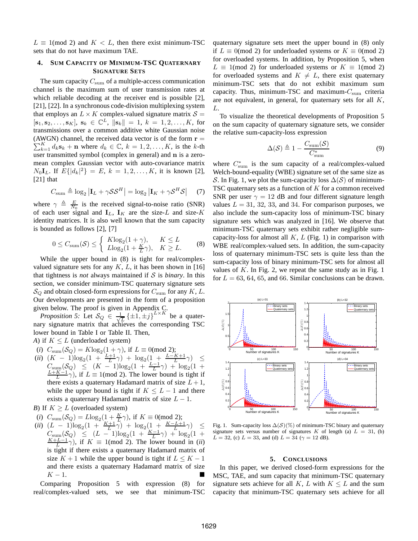$L \equiv 1 \pmod{2}$  and  $K < L$ , then there exist minimum-TSC sets that do not have maximum TAE.

#### **4. SUM CAPACITY OF MINIMUM-TSC QUATERNARY SIGNATURE SETS**

The sum capacity  $C_{\text{sum}}$  of a multiple-access communication channel is the maximum sum of user transmission rates at which reliable decoding at the receiver end is possible [2], [21], [22]. In a synchronous code-division multiplexing system that employs an  $L \times K$  complex-valued signature matrix  $S =$  $[\mathbf{s}_1, \mathbf{s}_2, \dots, \mathbf{s}_K], \mathbf{s}_k \in \mathbb{C}^L, \|\mathbf{s}_k\| = 1, k = 1, 2, \dots, K, \text{ for }$ transmissions over a common additive white Gaussian noise (AWGN) channel, the received data vector is of the form  $\mathbf{r} =$ (AWGN) channel, the received data vector is of the form  $\mathbf{r} = \sum_{k=1}^{K} d_k \mathbf{s}_k + \mathbf{n}$  where  $d_k \in \mathbb{C}$ ,  $k = 1, 2, ..., K$ , is the k-th user transmitted symbol (complex in general) and n is a zeromean complex Gaussian vector with auto-covariance matrix  $N_0$ **I**<sub>L</sub>. If  $E\{|d_k|^2\} = E$ ,  $k = 1, 2, ..., K$ , it is known [2], [21] that

$$
C_{\text{sum}} \triangleq \log_2 |\mathbf{I}_L + \gamma \mathcal{S} \mathcal{S}^H| = \log_2 |\mathbf{I}_K + \gamma \mathcal{S}^H \mathcal{S}| \tag{7}
$$

where  $\gamma \triangleq \frac{E}{N_0}$  is the received signal-to-noise ratio (SNR) of each user signal and  $I_L$ ,  $I_K$  are the size-L and size-K identity matrices. It is also well known that the sum capacity is bounded as follows [2], [7]

$$
0 \le C_{\text{sum}}(\mathcal{S}) \le \begin{cases} K\log_2(1+\gamma), & K \le L\\ L\log_2(1+\frac{K}{L}\gamma), & K \ge L. \end{cases}
$$
 (8)

While the upper bound in (8) is tight for real/complexvalued signature sets for any  $K$ ,  $L$ , it has been shown in [16] that tightness is *not* always maintained if S is *binary*. In this section, we consider minimum-TSC quaternary signature sets  $\mathcal{S}_Q$  and obtain closed-form expressions for  $C_{\text{sum}}$  for any K, L. Our developments are presented in the form of a proposition given below. The proof is given in Appendix C.

*Proposition 5:* Let  $\mathcal{S}_Q$   $\in$   $\frac{1}{\sqrt{2}}$  $\frac{1}{L} \{\pm 1, \pm j\}^{L \times K}$  be a quaternary signature matrix that achieves the corresponding TSC lower bound in Table I or Table II. Then,

*A*) if  $K \leq L$  (underloaded system)

- (*i*)  $C_{\text{sum}}(\mathcal{S}_Q) = K \log_2(1+\gamma)$ , if  $L \equiv 0 \pmod{2}$ ;
- (*ii*)  $(K 1)\log_2(1 + \frac{L+1}{L}\gamma) + \log_2(1 + \frac{L-K+1}{L}\gamma) \le$  $C_{\text{sum}}(\mathcal{S}_Q) \leq (K-1)\log_2(1+\frac{L-1}{L}\gamma) + \log_2(1+\frac{L}{L}\gamma)$  $\frac{L+K-1}{L}\gamma$ ), if  $L \equiv 1 \pmod{2}$ . The lower bound is tight if there exists a quaternary Hadamard matrix of size  $L + 1$ , while the upper bound is tight if  $K \leq L - 1$  and there exists a quaternary Hadamard matrix of size  $L - 1$ .
- *B*) If  $K \geq L$  (overloaded system)
- (*i*)  $C_{\text{sum}}(\mathcal{S}_Q) = L \log_2\left(1 + \frac{K}{L}\gamma\right)$ , if  $K \equiv 0 \pmod{2}$ ;
- $(iii)$   $(L 1)\log_2(1 + \frac{K+1}{L}\gamma) + \log_2(1 + \frac{K-L+1}{L}\gamma) \leq$  $C_{\text{sum}}(\mathcal{S}_Q) \leq (L-1)\log_2(1+\frac{K-1}{L}\gamma) + \log_2(1+\gamma)$  $\frac{K+L-1}{L}\gamma$ , if  $K \equiv 1 \pmod{2}$ . The lower bound in (*ii*) is tight if there exists a quaternary Hadamard matrix of size  $K + 1$  while the upper bound is tight if  $L \leq K - 1$ and there exists a quaternary Hadamard matrix of size  $K-1$ .

Comparing Proposition 5 with expression (8) for real/complex-valued sets, we see that minimum-TSC

quaternary signature sets meet the upper bound in (8) only if  $L \equiv 0 \pmod{2}$  for underloaded systems or  $K \equiv 0 \pmod{2}$ for overloaded systems. In addition, by Proposition 5, when  $L \equiv 1 \pmod{2}$  for underloaded systems or  $K \equiv 1 \pmod{2}$ for overloaded systems and  $K \neq L$ , there exist quaternary minimum-TSC sets that do not exhibit maximum sum capacity. Thus, minimum-TSC and maximum- $C_{\text{sum}}$  criteria are not equivalent, in general, for quaternary sets for all  $K$ , L.

To visualize the theoretical developments of Proposition 5 on the sum capacity of quaternary signature sets, we consider the relative sum-capacity-loss expression

$$
\Delta(\mathcal{S}) \triangleq 1 - \frac{C_{\text{sum}}(\mathcal{S})}{C_{\text{sum}}^*} \tag{9}
$$

where  $C_{\text{sum}}^*$  is the sum capacity of a real/complex-valued Welch-bound-equality (WBE) signature set of the same size as S. In Fig. 1, we plot the sum-capacity loss  $\Delta(S)$  of minimum-TSC quaternary sets as a function of  $K$  for a common received SNR per user  $\gamma = 12$  dB and four different signature length values  $L = 31, 32, 33,$  and 34. For comparison purposes, we also include the sum-capacity loss of minimum-TSC binary signature sets which was analyzed in [16]. We observe that minimum-TSC quaternary sets exhibit rather negligible sumcapacity-loss for almost all  $K, L$  (Fig. 1) in comparison with WBE real/complex-valued sets. In addition, the sum-capacity loss of quaternary minimum-TSC sets is quite less than the sum-capacity loss of binary minimum-TSC sets for almost all values of  $K$ . In Fig. 2, we repeat the same study as in Fig. 1 for  $L = 63, 64, 65,$  and 66. Similar conclusions can be drawn.



Fig. 1. Sum-capacity loss  $\Delta(S)(\%)$  of minimum-TSC binary and quaternary signature sets versus number of signatures K of length (a)  $L = 31$ , (b)  $L = 32$ , (c)  $L = 33$ , and (d)  $L = 34$  ( $\gamma = 12$  dB).

#### **5. CONCLUSIONS**

In this paper, we derived closed-form expressions for the MSC, TAE, and sum capacity that minimum-TSC quaternary signature sets achieve for all K, L with  $K \leq L$  and the sum capacity that minimum-TSC quaternary sets achieve for all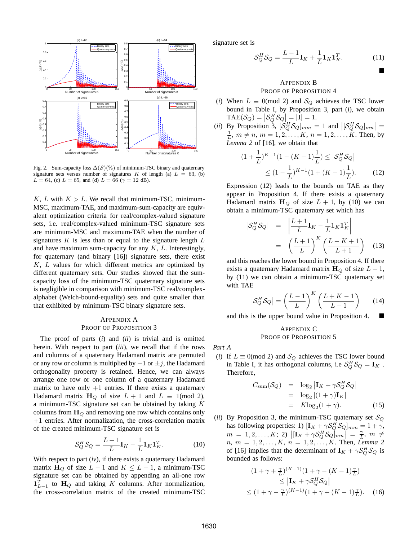

Fig. 2. Sum-capacity loss  $\Delta(S)(\%)$  of minimum-TSC binary and quaternary signature sets versus number of signatures K of length (a)  $L = 63$ , (b)  $L = 64$ , (c)  $L = 65$ , and (d)  $L = 66$  ( $\gamma = 12$  dB).

K, L with  $K > L$ . We recall that minimum-TSC, minimum-MSC, maximum-TAE, and maximum-sum-capacity are equivalent optimization criteria for real/complex-valued signature sets, i.e. real/complex-valued minimum-TSC signature sets are minimum-MSC and maximum-TAE when the number of signatures  $K$  is less than or equal to the signature length  $L$ and have maximum sum-capacity for any  $K$ ,  $L$ . Interestingly, for quaternary (and binary [16]) signature sets, there exist K, L values for which different metrics are optimized by different quaternary sets. Our studies showed that the sumcapacity loss of the minimum-TSC quaternary signature sets is negligible in comparison with minimum-TSC real/complexalphabet (Welch-bound-equality) sets and quite smaller than that exhibited by minimum-TSC binary signature sets.

### APPENDIX A PROOF OF PROPOSITION 3

The proof of parts (*i*) and (*ii*) is trivial and is omitted herein. With respect to part (*iii*), we recall that if the rows and columns of a quaternary Hadamard matrix are permuted or any row or column is multiplied by  $-1$  or  $\pm j$ , the Hadamard orthogonality property is retained. Hence, we can always arrange one row or one column of a quaternary Hadamard matrix to have only  $+1$  entries. If there exists a quaternary Hadamard matrix  $H_Q$  of size  $L + 1$  and  $L \equiv 1 \pmod{2}$ , a minimum-TSC signature set can be obtained by taking K columns from  $H<sub>O</sub>$  and removing one row which contains only +1 entries. After normalization, the cross-correlation matrix of the created minimum-TSC signature set is

$$
\mathcal{S}_Q^H \mathcal{S}_Q = \frac{L+1}{L} \mathbf{I}_K - \frac{1}{L} \mathbf{1}_K \mathbf{1}_K^T. \tag{10}
$$

With respect to part (*iv*), if there exists a quaternary Hadamard matrix  $H_Q$  of size  $L - 1$  and  $K \leq L - 1$ , a minimum-TSC signature set can be obtained by appending an all-one row  $\mathbf{1}_{L-1}^T$  to  $\mathbf{H}_Q$  and taking K columns. After normalization, the cross-correlation matrix of the created minimum-TSC signature set is

$$
\mathcal{S}_Q^H \mathcal{S}_Q = \frac{L-1}{L} \mathbf{I}_K + \frac{1}{L} \mathbf{1}_K \mathbf{1}_K^T. \tag{11}
$$

## APPENDIX B PROOF OF PROPOSITION 4

- (*i*) When  $L \equiv 0 \pmod{2}$  and  $S_Q$  achieves the TSC lower bound in Table I, by Proposition 3, part (*i*), we obtain  $\text{TAE}(\mathcal{S}_Q) = \left| \mathcal{S}_Q^H \mathcal{S}_Q \right| = |\mathbf{I}| = 1.$
- (*ii*) By Proposition 3,  $[\mathcal{S}_Q^H \mathcal{S}_Q]_{mm} = 1$  and  $[ [\mathcal{S}_Q^H \mathcal{S}_Q]_{mn} ] =$  $\frac{1}{L}$ ,  $m \neq n$ ,  $m = 1, 2, ..., K$ ,  $n = 1, 2, ..., K$ . Then, by *Lemma 2* of [16], we obtain that

$$
(1 + \frac{1}{L})^{K-1} (1 - (K - 1)\frac{1}{L}) \leq |\mathcal{S}_Q^H \mathcal{S}_Q|
$$
  
 
$$
\leq (1 - \frac{1}{L})^{K-1} (1 + (K - 1)\frac{1}{L}).
$$
 (12)

Expression (12) leads to the bounds on TAE as they appear in Proposition 4. If there exists a quaternary Hadamard matrix  $H_Q$  of size  $L + 1$ , by (10) we can obtain a minimum-TSC quaternary set which has

$$
\begin{array}{rcl}\n\left|\mathcal{S}_{Q}^{H}\mathcal{S}_{Q}\right| & = & \left|\frac{L+1}{L}\mathbf{I}_{K}-\frac{1}{L}\mathbf{1}_{K}\mathbf{1}_{K}^{T}\right| \\
& = & \left(\frac{L+1}{L}\right)^{K}\left(\frac{L-K+1}{L+1}\right) \quad (13)\n\end{array}
$$

and this reaches the lower bound in Proposition 4. If there exists a quaternary Hadamard matrix  $H_Q$  of size  $L - 1$ , by (11) we can obtain a minimum-TSC quaternary set with TAE

$$
\left| \mathcal{S}_Q^H \mathcal{S}_Q \right| = \left( \frac{L-1}{L} \right)^K \left( \frac{L+K-1}{L-1} \right) \tag{14}
$$

and this is the upper bound value in Proposition 4.

#### APPENDIX C PROOF OF PROPOSITION 5

*Part A*

(*i*) If  $L \equiv 0 \pmod{2}$  and  $S_Q$  achieves the TSC lower bound in Table I, it has orthogonal columns, i.e  $S_Q^H S_Q = I_K$ . Therefore,

$$
C_{\text{sum}}(\mathcal{S}_{Q}) = \log_2 |\mathbf{I}_{K} + \gamma \mathcal{S}_{Q}^{H} \mathcal{S}_{Q}|
$$
  
=  $\log_2 |(1 + \gamma) \mathbf{I}_{K}|$   
=  $K \log_2 (1 + \gamma).$  (15)

(*ii*) By Proposition 3, the minimum-TSC quaternary set  $S_Q$ has following properties: 1)  $[I_K + \gamma S_Q^H S_Q]_{mm} = 1 + \gamma$ ,  $m = 1, 2, \ldots, K; 2) \left[ [\mathbf{I}_K + \gamma S_Q^H S_Q \mathbf{I}_{mn} \right] = \frac{\gamma}{L}, m \neq$  $n, m = 1, 2, \ldots, K, n = 1, 2, \ldots, K$ . Then, *Lemma 2* of [16] implies that the determinant of  $I_K + \gamma S_Q^H S_Q$  is bounded as follows:

$$
(1 + \gamma + \frac{\gamma}{L})^{(K-1)}(1 + \gamma - (K-1)\frac{\gamma}{L})
$$
  
\n
$$
\leq |\mathbf{I}_K + \gamma \mathcal{S}_Q^H \mathcal{S}_Q|
$$
  
\n
$$
\leq (1 + \gamma - \frac{\gamma}{L})^{(K-1)}(1 + \gamma + (K-1)\frac{\gamma}{L}).
$$
 (16)